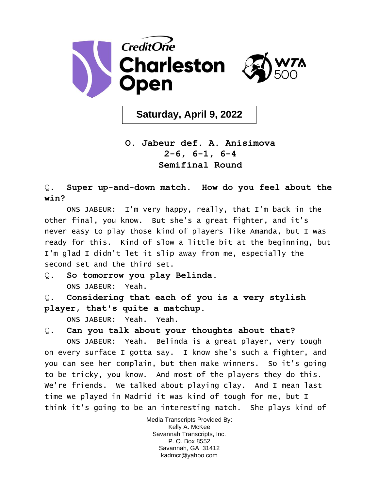

**Saturday, April 9, 2022**

## **O. Jabeur def. A. Anisimova 2-6, 6-1, 6-4 Semifinal Round**

Q. **Super up-and-down match. How do you feel about the win?** 

ONS JABEUR: I'm very happy, really, that I'm back in the other final, you know. But she's a great fighter, and it's never easy to play those kind of players like Amanda, but I was ready for this. Kind of slow a little bit at the beginning, but I'm glad I didn't let it slip away from me, especially the second set and the third set.

- Q. **So tomorrow you play Belinda.**  ONS JABEUR: Yeah.
- Q. **Considering that each of you is a very stylish player, that's quite a matchup.**

ONS JABEUR: Yeah. Yeah.

Q. **Can you talk about your thoughts about that?** 

ONS JABEUR: Yeah. Belinda is a great player, very tough on every surface I gotta say. I know she's such a fighter, and you can see her complain, but then make winners. So it's going to be tricky, you know. And most of the players they do this. We're friends. We talked about playing clay. And I mean last time we played in Madrid it was kind of tough for me, but I think it's going to be an interesting match. She plays kind of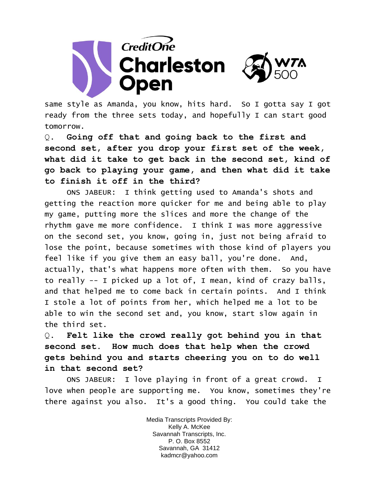

same style as Amanda, you know, hits hard. So I gotta say I got ready from the three sets today, and hopefully I can start good tomorrow.

Q. **Going off that and going back to the first and second set, after you drop your first set of the week, what did it take to get back in the second set, kind of go back to playing your game, and then what did it take to finish it off in the third?** 

ONS JABEUR: I think getting used to Amanda's shots and getting the reaction more quicker for me and being able to play my game, putting more the slices and more the change of the rhythm gave me more confidence. I think I was more aggressive on the second set, you know, going in, just not being afraid to lose the point, because sometimes with those kind of players you feel like if you give them an easy ball, you're done. And, actually, that's what happens more often with them. So you have to really -- I picked up a lot of, I mean, kind of crazy balls, and that helped me to come back in certain points. And I think I stole a lot of points from her, which helped me a lot to be able to win the second set and, you know, start slow again in the third set.

Q. **Felt like the crowd really got behind you in that second set. How much does that help when the crowd gets behind you and starts cheering you on to do well in that second set?** 

ONS JABEUR: I love playing in front of a great crowd. I love when people are supporting me. You know, sometimes they're there against you also. It's a good thing. You could take the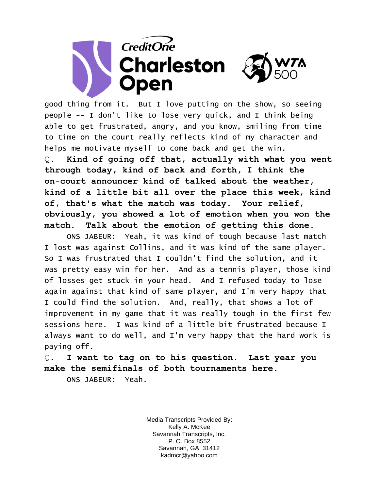

good thing from it. But I love putting on the show, so seeing people -- I don't like to lose very quick, and I think being able to get frustrated, angry, and you know, smiling from time to time on the court really reflects kind of my character and helps me motivate myself to come back and get the win. Q. **Kind of going off that, actually with what you went through today, kind of back and forth, I think the on-court announcer kind of talked about the weather, kind of a little bit all over the place this week, kind of, that's what the match was today. Your relief, obviously, you showed a lot of emotion when you won the match. Talk about the emotion of getting this done.** 

ONS JABEUR: Yeah, it was kind of tough because last match I lost was against Collins, and it was kind of the same player. So I was frustrated that I couldn't find the solution, and it was pretty easy win for her. And as a tennis player, those kind of losses get stuck in your head. And I refused today to lose again against that kind of same player, and I'm very happy that I could find the solution. And, really, that shows a lot of improvement in my game that it was really tough in the first few sessions here. I was kind of a little bit frustrated because I always want to do well, and I'm very happy that the hard work is paying off.

Q. **I want to tag on to his question. Last year you make the semifinals of both tournaments here.** 

ONS JABEUR: Yeah.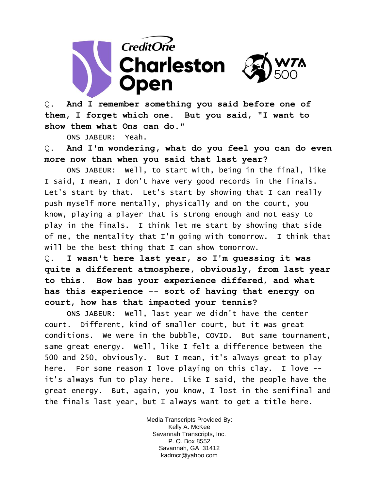

Q. **And I remember something you said before one of them, I forget which one. But you said, "I want to show them what Ons can do."** 

ONS JABEUR: Yeah.

Q. **And I'm wondering, what do you feel you can do even more now than when you said that last year?** 

ONS JABEUR: Well, to start with, being in the final, like I said, I mean, I don't have very good records in the finals. Let's start by that. Let's start by showing that I can really push myself more mentally, physically and on the court, you know, playing a player that is strong enough and not easy to play in the finals. I think let me start by showing that side of me, the mentality that I'm going with tomorrow. I think that will be the best thing that I can show tomorrow.

Q. **I wasn't here last year, so I'm guessing it was quite a different atmosphere, obviously, from last year to this. How has your experience differed, and what has this experience -- sort of having that energy on court, how has that impacted your tennis?** 

ONS JABEUR: Well, last year we didn't have the center court. Different, kind of smaller court, but it was great conditions. We were in the bubble, COVID. But same tournament, same great energy. Well, like I felt a difference between the 500 and 250, obviously. But I mean, it's always great to play here. For some reason I love playing on this clay. I love -it's always fun to play here. Like I said, the people have the great energy. But, again, you know, I lost in the semifinal and the finals last year, but I always want to get a title here.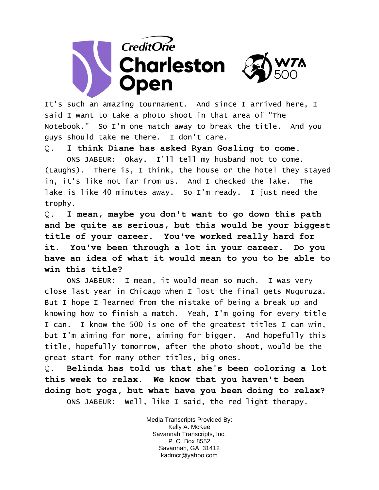

It's such an amazing tournament. And since I arrived here, I said I want to take a photo shoot in that area of "The Notebook." So I'm one match away to break the title. And you guys should take me there. I don't care.

Q. **I think Diane has asked Ryan Gosling to come.** 

ONS JABEUR: Okay. I'll tell my husband not to come. (Laughs). There is, I think, the house or the hotel they stayed in, it's like not far from us. And I checked the lake. The lake is like 40 minutes away. So I'm ready. I just need the trophy.

Q. **I mean, maybe you don't want to go down this path and be quite as serious, but this would be your biggest title of your career. You've worked really hard for it. You've been through a lot in your career. Do you have an idea of what it would mean to you to be able to win this title?** 

ONS JABEUR: I mean, it would mean so much. I was very close last year in Chicago when I lost the final gets Muguruza. But I hope I learned from the mistake of being a break up and knowing how to finish a match. Yeah, I'm going for every title I can. I know the 500 is one of the greatest titles I can win, but I'm aiming for more, aiming for bigger. And hopefully this title, hopefully tomorrow, after the photo shoot, would be the great start for many other titles, big ones.

Q. **Belinda has told us that she's been coloring a lot this week to relax. We know that you haven't been doing hot yoga, but what have you been doing to relax?**  ONS JABEUR: Well, like I said, the red light therapy.